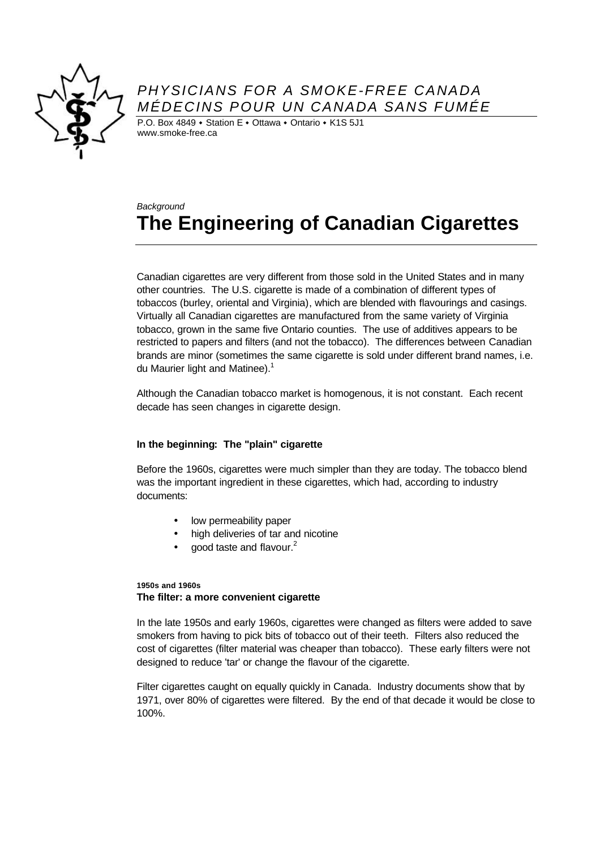

## *PHYSICIANS FOR A SMOKE-FREE CANADA MÉDECINS POUR UN CANADA SANS FUMÉE*

P.O. Box 4849  $\cdot$  Station E  $\cdot$  Ottawa  $\cdot$  Ontario  $\cdot$  K1S 5J1 www.smoke-free.ca

# *Background* **The Engineering of Canadian Cigarettes**

Canadian cigarettes are very different from those sold in the United States and in many other countries. The U.S. cigarette is made of a combination of different types of tobaccos (burley, oriental and Virginia), which are blended with flavourings and casings. Virtually all Canadian cigarettes are manufactured from the same variety of Virginia tobacco, grown in the same five Ontario counties. The use of additives appears to be restricted to papers and filters (and not the tobacco). The differences between Canadian brands are minor (sometimes the same cigarette is sold under different brand names, i.e. du Maurier light and Matinee). $1$ 

Although the Canadian tobacco market is homogenous, it is not constant. Each recent decade has seen changes in cigarette design.

## **In the beginning: The "plain" cigarette**

Before the 1960s, cigarettes were much simpler than they are today. The tobacco blend was the important ingredient in these cigarettes, which had, according to industry documents:

- low permeability paper
- high deliveries of tar and nicotine
- good taste and flavour.<sup>2</sup>

## **1950s and 1960s The filter: a more convenient cigarette**

In the late 1950s and early 1960s, cigarettes were changed as filters were added to save smokers from having to pick bits of tobacco out of their teeth. Filters also reduced the cost of cigarettes (filter material was cheaper than tobacco). These early filters were not designed to reduce 'tar' or change the flavour of the cigarette.

Filter cigarettes caught on equally quickly in Canada. Industry documents show that by 1971, over 80% of cigarettes were filtered. By the end of that decade it would be close to 100%.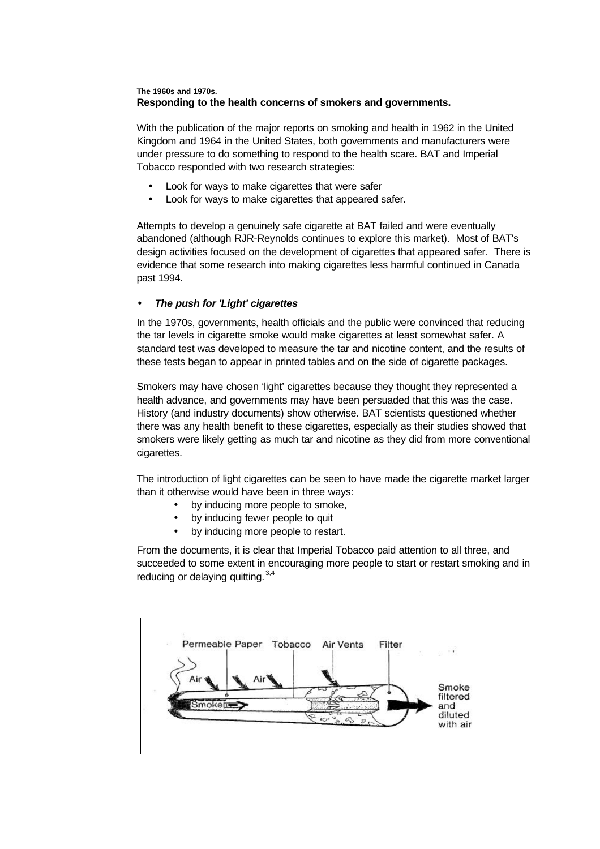## **The 1960s and 1970s. Responding to the health concerns of smokers and governments.**

With the publication of the major reports on smoking and health in 1962 in the United Kingdom and 1964 in the United States, both governments and manufacturers were under pressure to do something to respond to the health scare. BAT and Imperial Tobacco responded with two research strategies:

- Look for ways to make cigarettes that were safer
- Look for ways to make cigarettes that appeared safer.

Attempts to develop a genuinely safe cigarette at BAT failed and were eventually abandoned (although RJR-Reynolds continues to explore this market). Most of BAT's design activities focused on the development of cigarettes that appeared safer. There is evidence that some research into making cigarettes less harmful continued in Canada past 1994.

#### • *The push for 'Light' cigarettes*

In the 1970s, governments, health officials and the public were convinced that reducing the tar levels in cigarette smoke would make cigarettes at least somewhat safer. A standard test was developed to measure the tar and nicotine content, and the results of these tests began to appear in printed tables and on the side of cigarette packages.

Smokers may have chosen 'light' cigarettes because they thought they represented a health advance, and governments may have been persuaded that this was the case. History (and industry documents) show otherwise. BAT scientists questioned whether there was any health benefit to these cigarettes, especially as their studies showed that smokers were likely getting as much tar and nicotine as they did from more conventional cigarettes.

The introduction of light cigarettes can be seen to have made the cigarette market larger than it otherwise would have been in three ways:

- by inducing more people to smoke,
- by inducing fewer people to quit
- by inducing more people to restart.

From the documents, it is clear that Imperial Tobacco paid attention to all three, and succeeded to some extent in encouraging more people to start or restart smoking and in reducing or delaying quitting. 3,4

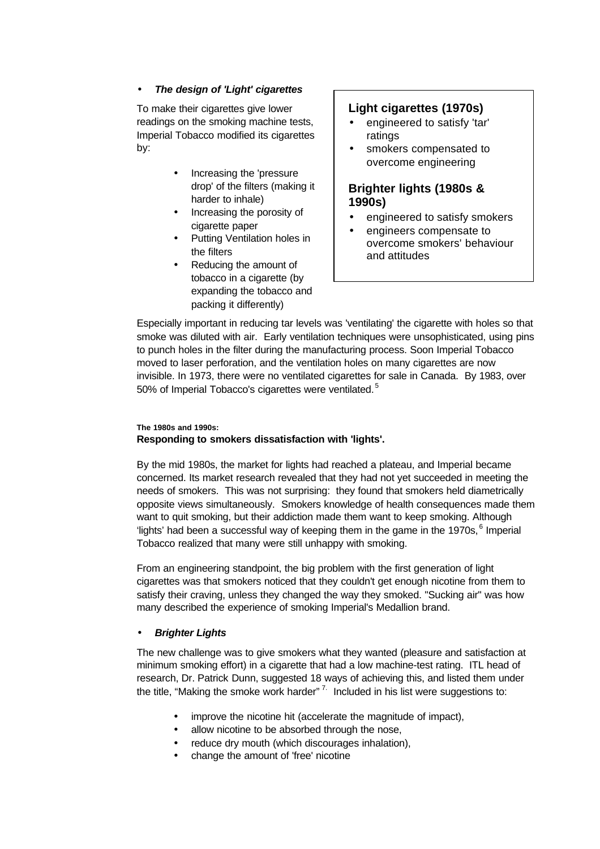## • *The design of 'Light' cigarettes*

To make their cigarettes give lower readings on the smoking machine tests, Imperial Tobacco modified its cigarettes by:

- Increasing the 'pressure drop' of the filters (making it harder to inhale)
- Increasing the porosity of cigarette paper
- Putting Ventilation holes in the filters
- Reducing the amount of tobacco in a cigarette (by expanding the tobacco and packing it differently)

## **Light cigarettes (1970s)**

- engineered to satisfy 'tar' ratings
- smokers compensated to overcome engineering

## **Brighter lights (1980s & 1990s)**

- engineered to satisfy smokers
- engineers compensate to overcome smokers' behaviour and attitudes

Especially important in reducing tar levels was 'ventilating' the cigarette with holes so that smoke was diluted with air. Early ventilation techniques were unsophisticated, using pins to punch holes in the filter during the manufacturing process. Soon Imperial Tobacco moved to laser perforation, and the ventilation holes on many cigarettes are now invisible. In 1973, there were no ventilated cigarettes for sale in Canada. By 1983, over 50% of Imperial Tobacco's cigarettes were ventilated.<sup>5</sup>

## **The 1980s and 1990s: Responding to smokers dissatisfaction with 'lights'.**

By the mid 1980s, the market for lights had reached a plateau, and Imperial became concerned. Its market research revealed that they had not yet succeeded in meeting the needs of smokers. This was not surprising: they found that smokers held diametrically opposite views simultaneously. Smokers knowledge of health consequences made them want to quit smoking, but their addiction made them want to keep smoking. Although 'lights' had been a successful way of keeping them in the game in the 1970s, <sup>6</sup> Imperial Tobacco realized that many were still unhappy with smoking.

From an engineering standpoint, the big problem with the first generation of light cigarettes was that smokers noticed that they couldn't get enough nicotine from them to satisfy their craving, unless they changed the way they smoked. "Sucking air" was how many described the experience of smoking Imperial's Medallion brand.

## • *Brighter Lights*

The new challenge was to give smokers what they wanted (pleasure and satisfaction at minimum smoking effort) in a cigarette that had a low machine-test rating. ITL head of research, Dr. Patrick Dunn, suggested 18 ways of achieving this, and listed them under the title, "Making the smoke work harder"<sup>7.</sup> Included in his list were suggestions to:

- improve the nicotine hit (accelerate the magnitude of impact),
- allow nicotine to be absorbed through the nose,
- reduce dry mouth (which discourages inhalation),
- change the amount of 'free' nicotine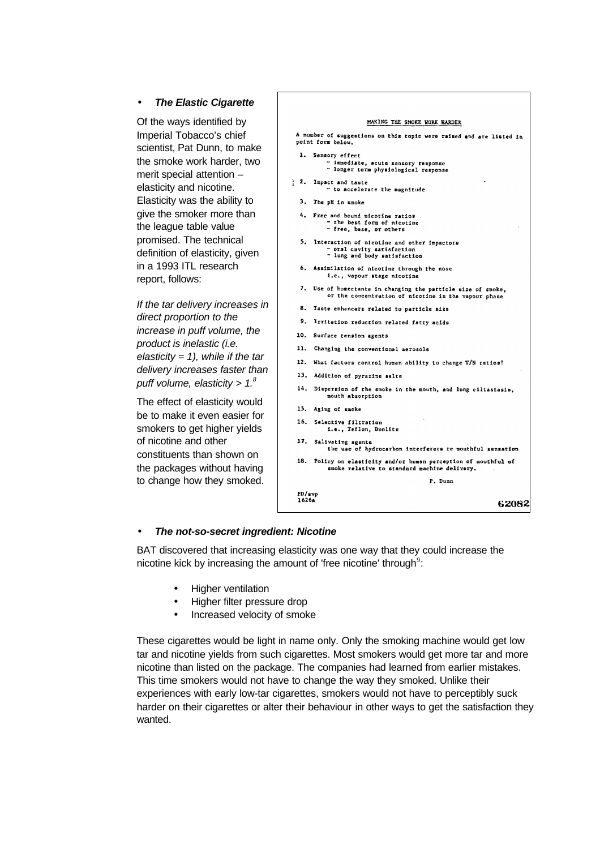#### • *The Elastic Cigarette*

Of the ways identified by Imperial Tobacco's chief scientist, Pat Dunn, to make the smoke work harder, two merit special attention – elasticity and nicotine. Elasticity was the ability to give the smoker more than the league table value promised. The technical definition of elasticity, given in a 1993 ITL research report, follows:

*If the tar delivery increases in direct proportion to the increase in puff volume, the product is inelastic (i.e. elasticity = 1), while if the tar delivery increases faster than puff volume, elasticity > 1.<sup>8</sup>*

The effect of elasticity would be to make it even easier for smokers to get higher yields of nicotine and other constituents than shown on the packages without having to change how they smoked.



#### • *The not-so-secret ingredient: Nicotine*

BAT discovered that increasing elasticity was one way that they could increase the nicotine kick by increasing the amount of 'free nicotine' through<sup>9</sup>:

- Higher ventilation
- Higher filter pressure drop
- Increased velocity of smoke

These cigarettes would be light in name only. Only the smoking machine would get low tar and nicotine yields from such cigarettes. Most smokers would get more tar and more nicotine than listed on the package. The companies had learned from earlier mistakes. This time smokers would not have to change the way they smoked. Unlike their experiences with early low-tar cigarettes, smokers would not have to perceptibly suck harder on their cigarettes or alter their behaviour in other ways to get the satisfaction they wanted.